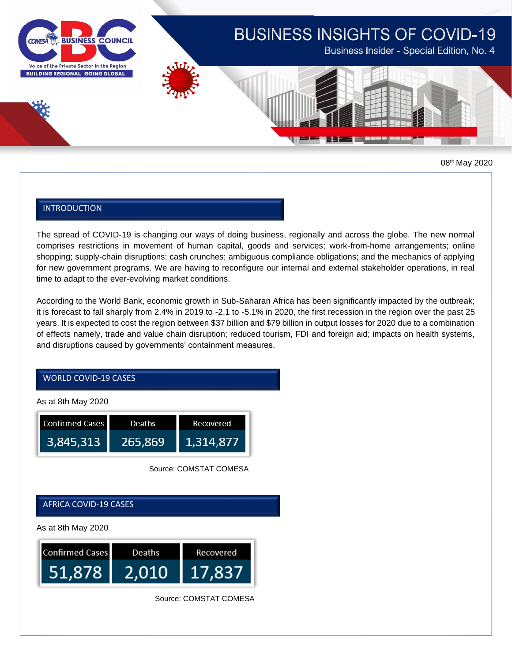

# **BUSINESS INSIGHTS OF COVID-19**

Business Insider - Special Edition, No. 4



08th May 2020

## INTRODUCTION

The spread of COVID-19 is changing our ways of doing business, regionally and across the globe. The new normal comprises restrictions in movement of human capital, goods and services; work-from-home arrangements; online shopping; supply-chain disruptions; cash crunches; ambiguous compliance obligations; and the mechanics of applying for new government programs. We are having to reconfigure our internal and external stakeholder operations, in real time to adapt to the ever-evolving market conditions.

According to the World Bank, economic growth in Sub-Saharan Africa has been significantly impacted by the outbreak; it is forecast to fall sharply from 2.4% in 2019 to -2.1 to -5.1% in 2020, the first recession in the region over the past 25 years. It is expected to cost the region between \$37 billion and \$79 billion in output losses for 2020 due to a combination of effects namely, trade and value chain disruption; reduced tourism, FDI and foreign aid; impacts on health systems, and disruptions caused by governments' containment measures.

# WORLD COVID-19 CASES

As at 8th May 2020

| <b>Confirmed Cases</b> | Deaths  | Recovered |
|------------------------|---------|-----------|
| 3,845,313              | 265.869 | 1,314,877 |

Source: COMSTAT COMESA

AFRICA COVID-19 CASES

As at 8th May 2020



Source: COMSTAT COMESA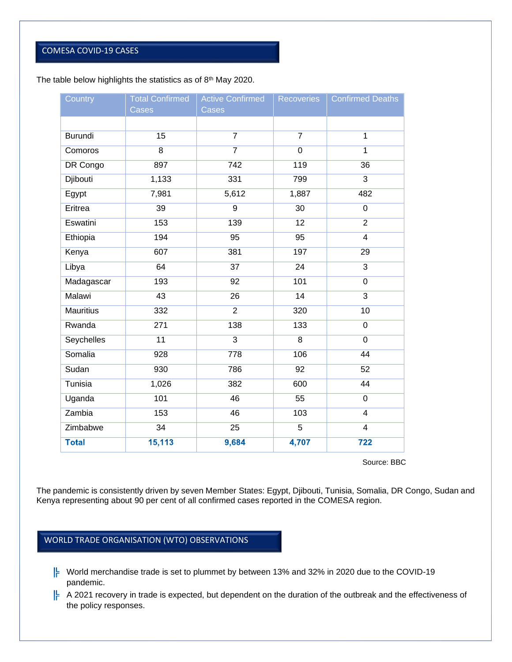# COMESA COVID-19 CASES

#### The table below highlights the statistics as of  $8<sup>th</sup>$  May 2020.

| Country          | <b>Total Confirmed</b> | <b>Active Confirmed</b> | Recoveries     | <b>Confirmed Deaths</b> |
|------------------|------------------------|-------------------------|----------------|-------------------------|
|                  | Cases                  | Cases                   |                |                         |
| <b>Burundi</b>   | 15                     | $\overline{7}$          | $\overline{7}$ | $\mathbf 1$             |
|                  |                        |                         |                |                         |
| Comoros          | 8                      | $\overline{7}$          | $\mathbf 0$    | $\mathbf 1$             |
| DR Congo         | 897                    | 742                     | 119            | 36                      |
| Djibouti         | 1,133                  | 331                     | 799            | 3                       |
| Egypt            | 7,981                  | 5,612                   | 1,887          | 482                     |
| Eritrea          | 39                     | 9                       | 30             | $\mathbf 0$             |
| Eswatini         | 153                    | 139                     | 12             | $\overline{2}$          |
| Ethiopia         | 194                    | 95                      | 95             | $\overline{\mathbf{4}}$ |
| Kenya            | 607                    | 381                     | 197            | 29                      |
| Libya            | 64                     | 37                      | 24             | $\overline{3}$          |
| Madagascar       | 193                    | 92                      | 101            | $\boldsymbol{0}$        |
| Malawi           | 43                     | 26                      | 14             | 3                       |
| <b>Mauritius</b> | 332                    | $\overline{2}$          | 320            | 10                      |
| Rwanda           | 271                    | 138                     | 133            | $\mathbf 0$             |
| Seychelles       | 11                     | 3                       | 8              | $\mathbf 0$             |
| Somalia          | 928                    | 778                     | 106            | 44                      |
| Sudan            | 930                    | 786                     | 92             | 52                      |
| Tunisia          | 1,026                  | 382                     | 600            | 44                      |
| Uganda           | 101                    | 46                      | 55             | $\mathbf 0$             |
| Zambia           | 153                    | 46                      | 103            | $\overline{\mathbf{4}}$ |
| Zimbabwe         | 34                     | $\overline{25}$         | $\overline{5}$ | $\overline{4}$          |
| <b>Total</b>     | 15,113                 | 9,684                   | 4,707          | 722                     |

Source: BBC

The pandemic is consistently driven by seven Member States: Egypt, Djibouti, Tunisia, Somalia, DR Congo, Sudan and Kenya representing about 90 per cent of all confirmed cases reported in the COMESA region.

# WORLD TRADE ORGANISATION (WTO) OBSERVATIONS

- $\frac{1}{6}$  World merchandise trade is set to plummet by between 13% and 32% in 2020 due to the COVID-19 pandemic.
- $\vert \cdot \vert$  A 2021 recovery in trade is expected, but dependent on the duration of the outbreak and the effectiveness of the policy responses.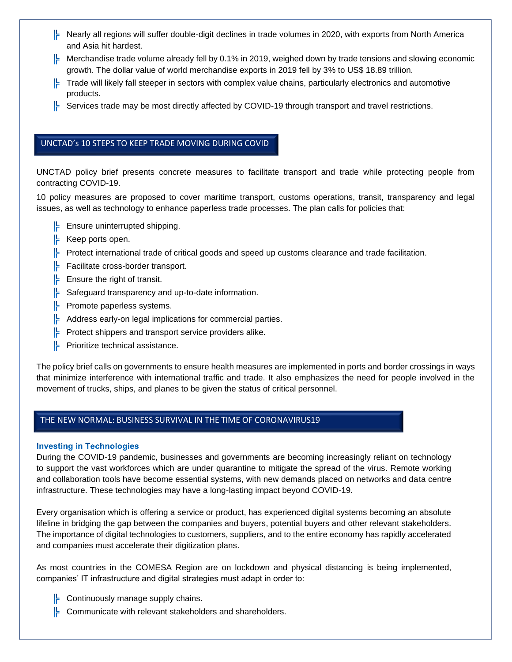- $\models$  Nearly all regions will suffer double-digit declines in trade volumes in 2020, with exports from North America and Asia hit hardest.
- Merchandise trade volume already fell by 0.1% in 2019, weighed down by trade tensions and slowing economic growth. The dollar value of world merchandise exports in 2019 fell by 3% to US\$ 18.89 trillion.
- $\vdash$  Trade will likely fall steeper in sectors with complex value chains, particularly electronics and automotive products.
- $\models$  Services trade may be most directly affected by COVID-19 through transport and travel restrictions.

# UNCTAD's 10 STEPS TO KEEP TRADE MOVING DURING COVID

UNCTAD policy brief presents concrete measures to facilitate transport and trade while protecting people from contracting COVID-19.

10 policy measures are proposed to cover maritime transport, customs operations, transit, transparency and legal issues, as well as technology to enhance paperless trade processes. The plan calls for policies that:

- $\left| \cdot \right|$  Ensure uninterrupted shipping.
- $\left| \right|$  Keep ports open.

19

- $\vdash$  Protect international trade of critical goods and speed up customs clearance and trade facilitation.
- $\left| \right|$  Facilitate cross-border transport.
- $\left| \right|$  Ensure the right of transit.
- $\left| \right|$  Safeguard transparency and up-to-date information.
- $\left| \right|$  Promote paperless systems.
- $\left| \right|$  Address early-on legal implications for commercial parties.
- $\left| \right|$  Protect shippers and transport service providers alike.
- **Prioritize technical assistance.**

The policy brief calls on governments to ensure health measures are implemented in ports and border crossings in ways that minimize interference with international traffic and trade. It also emphasizes the need for people involved in the movement of trucks, ships, and planes to be given the status of critical personnel.

## THE NEW NORMAL: BUSINESS SURVIVAL IN THE TIME OF CORONAVIRUS19

#### **Investing in Technologies**

During the COVID-19 pandemic, businesses and governments are becoming increasingly reliant on technology to support the vast workforces which are under quarantine to mitigate the spread of the virus. Remote working and collaboration tools have become essential systems, with new demands placed on networks and data centre infrastructure. These technologies may have a long-lasting impact beyond COVID-19.

Every organisation which is offering a service or product, has experienced digital systems becoming an absolute lifeline in bridging the gap between the companies and buyers, potential buyers and other relevant stakeholders. The importance of digital technologies to customers, suppliers, and to the entire economy has rapidly accelerated and companies must accelerate their digitization plans.

As most countries in the COMESA Region are on lockdown and physical distancing is being implemented, companies' IT infrastructure and digital strategies must adapt in order to:

- $\left| \right|$  Continuously manage supply chains.
- $\left| \cdot \right|$  Communicate with relevant stakeholders and shareholders.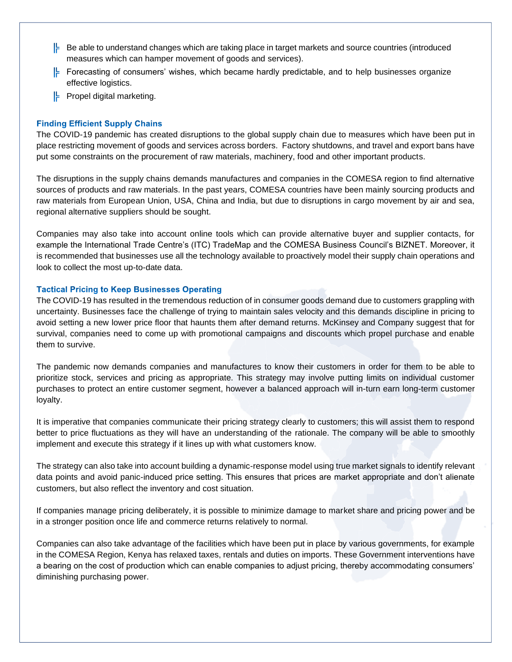- $\vdash$  Be able to understand changes which are taking place in target markets and source countries (introduced measures which can hamper movement of goods and services).
- Forecasting of consumers' wishes, which became hardly predictable, and to help businesses organize effective logistics.
- $\left| \right|$  Propel digital marketing.

#### **Finding Efficient Supply Chains**

The COVID-19 pandemic has created disruptions to the global supply chain due to measures which have been put in place restricting movement of goods and services across borders. Factory shutdowns, and travel and export bans have put some constraints on the procurement of raw materials, machinery, food and other important products.

The disruptions in the supply chains demands manufactures and companies in the COMESA region to find alternative sources of products and raw materials. In the past years, COMESA countries have been mainly sourcing products and raw materials from European Union, USA, China and India, but due to disruptions in cargo movement by air and sea, regional alternative suppliers should be sought.

Companies may also take into account online tools which can provide alternative buyer and supplier contacts, for example the International Trade Centre's (ITC) TradeMap and the COMESA Business Council's BIZNET. Moreover, it is recommended that businesses use all the technology available to proactively model their supply chain operations and look to collect the most up-to-date data.

#### **Tactical Pricing to Keep Businesses Operating**

The COVID-19 has resulted in the tremendous reduction of in consumer goods demand due to customers grappling with uncertainty. Businesses face the challenge of trying to maintain sales velocity and this demands discipline in pricing to avoid setting a new lower price floor that haunts them after demand returns. McKinsey and Company suggest that for survival, companies need to come up with promotional campaigns and discounts which propel purchase and enable them to survive.

The pandemic now demands companies and manufactures to know their customers in order for them to be able to prioritize stock, services and pricing as appropriate. This strategy may involve putting limits on individual customer purchases to protect an entire customer segment, however a balanced approach will in-turn earn long-term customer loyalty.

It is imperative that companies communicate their pricing strategy clearly to customers; this will assist them to respond better to price fluctuations as they will have an understanding of the rationale. The company will be able to smoothly implement and execute this strategy if it lines up with what customers know.

The strategy can also take into account building a dynamic-response model using true market signals to identify relevant data points and avoid panic-induced price setting. This ensures that prices are market appropriate and don't alienate customers, but also reflect the inventory and cost situation.

If companies manage pricing deliberately, it is possible to minimize damage to market share and pricing power and be in a stronger position once life and commerce returns relatively to normal.

Companies can also take advantage of the facilities which have been put in place by various governments, for example in the COMESA Region, Kenya has relaxed taxes, rentals and duties on imports. These Government interventions have a bearing on the cost of production which can enable companies to adjust pricing, thereby accommodating consumers' diminishing purchasing power.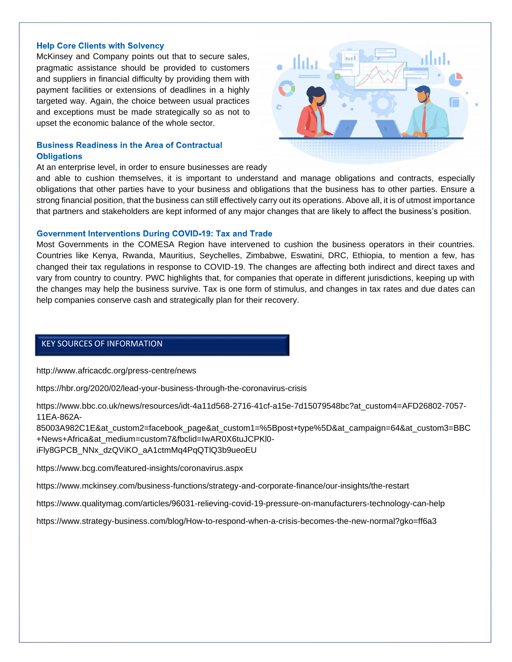#### **Help Core Clients with Solvency**

McKinsey and Company points out that to secure sales, pragmatic assistance should be provided to customers and suppliers in financial difficulty by providing them with payment facilities or extensions of deadlines in a highly targeted way. Again, the choice between usual practices and exceptions must be made strategically so as not to upset the economic balance of the whole sector.

## **Business Readiness in the Area of Contractual Obligations**

#### At an enterprise level, in order to ensure businesses are ready.

and able to cushion themselves, it is important to understand and manage obligations and contracts, especially obligations that other parties have to your business and obligations that the business has to other parties. Ensure a strong financial position, that the business can still effectively carry out its operations. Above all, it is of utmost importance that partners and stakeholders are kept informed of any major changes that are likely to affect the business's position.

#### **Government Interventions During COVID-19: Tax and Trade**

Most Governments in the COMESA Region have intervened to cushion the business operators in their countries. Countries like Kenya, Rwanda, Mauritius, Seychelles, Zimbabwe, Eswatini, DRC, Ethiopia, to mention a few, has changed their tax regulations in response to COVID-19. The changes are affecting both indirect and direct taxes and vary from country to country. PWC highlights that, for companies that operate in different jurisdictions, keeping up with the changes may help the business survive. Tax is one form of stimulus, and changes in tax rates and due dates can help companies conserve cash and strategically plan for their recovery.

# KEY SOURCES OF INFORMATION

http://www.africacdc.org/press-centre/news

https://hbr.org/2020/02/lead-your-business-through-the-coronavirus-crisis

https://www.bbc.co.uk/news/resources/idt-4a11d568-2716-41cf-a15e-7d15079548bc?at\_custom4=AFD26802-7057- 11EA-862A-

85003A982C1E&at\_custom2=facebook\_page&at\_custom1=%5Bpost+type%5D&at\_campaign=64&at\_custom3=BBC +News+Africa&at\_medium=custom7&fbclid=IwAR0X6tuJCPKl0 iFly8GPCB\_NNx\_dzQViKO\_aA1ctmMq4PqQTlQ3b9ueoEU

https://www.bcg.com/featured-insights/coronavirus.aspx

https://www.mckinsey.com/business-functions/strategy-and-corporate-finance/our-insights/the-restart

https://www.qualitymag.com/articles/96031-relieving-covid-19-pressure-on-manufacturers-technology-can-help

https://www.strategy-business.com/blog/How-to-respond-when-a-crisis-becomes-the-new-normal?gko=ff6a3